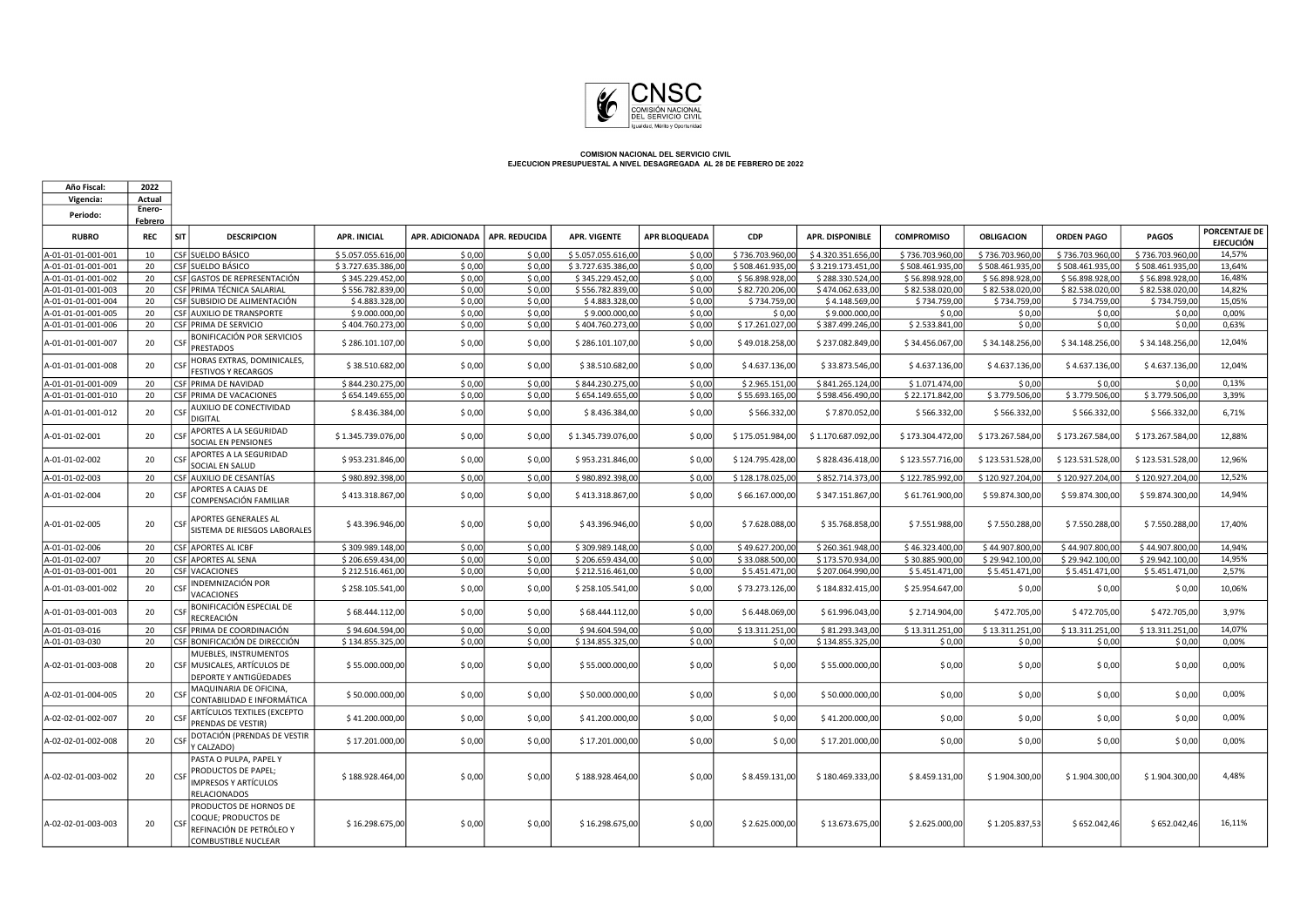

 $\Gamma$ 

| Año Fiscal:                              | 2022                         |                                                                                                            |                                      |                  |                      |                                      |                      |                                   |                                      |                                   |                           |                           |                           |                                          |
|------------------------------------------|------------------------------|------------------------------------------------------------------------------------------------------------|--------------------------------------|------------------|----------------------|--------------------------------------|----------------------|-----------------------------------|--------------------------------------|-----------------------------------|---------------------------|---------------------------|---------------------------|------------------------------------------|
| Vigencia:                                | Actual                       |                                                                                                            |                                      |                  |                      |                                      |                      |                                   |                                      |                                   |                           |                           |                           |                                          |
| Periodo:                                 | Enero-                       |                                                                                                            |                                      |                  |                      |                                      |                      |                                   |                                      |                                   |                           |                           |                           |                                          |
| <b>RUBRO</b>                             | <b>Febrero</b><br><b>REC</b> | SIT<br><b>DESCRIPCION</b>                                                                                  | <b>APR. INICIAL</b>                  | APR. ADICIONADA  | <b>APR. REDUCIDA</b> | <b>APR. VIGENTE</b>                  | <b>APR BLOQUEADA</b> | CDP                               | <b>APR. DISPONIBLE</b>               | <b>COMPROMISO</b>                 | <b>OBLIGACION</b>         | <b>ORDEN PAGO</b>         | PAGOS                     | <b>PORCENTAJE DE</b><br><b>EJECUCIÓN</b> |
| A-01-01-01-001-001                       | 10                           | CSF SUELDO BÁSICO                                                                                          | \$5.057.055.616,00                   | \$0,00           | \$0,00               | \$5.057.055.616,00                   | \$0.00               | \$736.703.960,00                  | \$4.320.351.656,00                   | \$736.703.960.00                  | \$736.703.960,00          | \$736.703.960,00          | \$736.703.960,00          | 14.57%                                   |
| A-01-01-01-001-001                       | 20                           | <b>CSF SUELDO BÁSICO</b>                                                                                   | \$3.727.635.386.00                   | \$0.00           | \$0.00               | \$3.727.635.386.00                   | \$0.00               | \$508.461.935.0                   | \$3.219.173.451.00                   | \$508.461.935.00                  | \$508,461,935.00          | \$508.461.935.00          | \$508.461.935.00          | 13.64%                                   |
| A-01-01-01-001-002                       | 20                           | CSF GASTOS DE REPRESENTACIÓN                                                                               | \$345.229.452,00                     | \$0,00           | \$0,00               | \$345.229.452,00                     | \$0,00               | \$56.898.928,00                   | \$288.330.524,00                     | \$56.898.928,00                   | \$56.898.928,00           | \$56.898.928,00           | \$56.898.928,00           | 16,48%                                   |
| A-01-01-01-001-003                       | 20                           | CSF PRIMA TÉCNICA SALARIAL                                                                                 | \$556.782.839,00                     | \$0,00           | \$0,00               | \$556.782.839,00                     | \$0,00               | \$82.720.206,00                   | \$474.062.633,00                     | \$82.538.020,00                   | \$82.538.020,00           | \$82.538.020,00           | \$82.538.020,00           | 14,82%                                   |
| A-01-01-01-001-004                       | 20                           | CSF SUBSIDIO DE ALIMENTACIÓN                                                                               | \$4.883.328,00                       | \$0,00           | \$0,00               | \$4.883.328,00                       | \$0,00               | \$734.759,00                      | \$4.148.569,00                       | \$734.759,00                      | \$734.759,00              | \$734.759,00              | \$734.759,00              | 15,05%                                   |
| A-01-01-01-001-005                       | 20                           | CSF AUXILIO DE TRANSPORTE                                                                                  | \$9.000.000,00                       | \$0,00           | \$0,00               | \$9.000.000,00                       | \$0,00               | \$0,00                            | \$9.000.000,00                       | \$0,00                            | \$0,00                    | \$0,00                    | \$0,00                    | 0,00%                                    |
| A-01-01-01-001-006<br>A-01-01-01-001-007 | 20<br>20                     | CSF PRIMA DE SERVICIO<br>BONIFICACIÓN POR SERVICIOS<br><b>CSF</b>                                          | \$404.760.273,00<br>\$286.101.107,00 | \$0,00<br>\$0,00 | \$0,00<br>\$0,00     | \$404.760.273,00<br>\$286.101.107,00 | \$0,00<br>\$0,00     | \$17.261.027,0<br>\$49.018.258,00 | \$387.499.246,00<br>\$237.082.849,00 | \$2.533.841,00<br>\$34.456.067,00 | \$0,00<br>\$34.148.256,00 | \$0,00<br>\$34.148.256,00 | \$0,00<br>\$34.148.256,00 | 0,63%<br>12,04%                          |
| A-01-01-01-001-008                       | 20                           | <b>PRESTADOS</b><br>HORAS EXTRAS, DOMINICALES,<br>CSE                                                      | \$38.510.682,00                      | \$0,00           | \$0,00               | \$38.510.682,00                      | \$0,00               | \$4.637.136,00                    | \$33.873.546,00                      | \$4.637.136,00                    | \$4.637.136,00            | \$4.637.136,00            | \$4.637.136,00            | 12,04%                                   |
| A-01-01-01-001-009                       | 20                           | <b>FESTIVOS Y RECARGOS</b><br>CSF PRIMA DE NAVIDAD                                                         | \$844.230.275,00                     | \$0,00           | \$0,00               | \$844.230.275,00                     | \$0,00               | \$2.965.151,00                    | \$841.265.124,00                     | \$1.071.474,00                    | \$0,00                    | \$0,00                    | \$0,00                    | 0,13%                                    |
| A-01-01-01-001-010                       | 20                           | CSF PRIMA DE VACACIONES                                                                                    | \$654.149.655,00                     | \$0,00           | \$0,00               | \$654.149.655,00                     | \$0,00               | \$55.693.165,0                    | \$598.456.490,00                     | \$22.171.842,00                   | \$3.779.506,00            | \$3.779.506,00            | \$3.779.506,00            | 3,39%                                    |
| A-01-01-01-001-012                       | 20                           | AUXILIO DE CONECTIVIDAD<br>CSF<br><b>DIGITAL</b>                                                           | \$8.436.384,00                       | \$0,00           | \$0,00               | \$8.436.384,00                       | \$0,00               | \$566.332,00                      | \$7.870.052,00                       | \$566.332,00                      | \$566.332,00              | \$566.332,00              | \$566.332,00              | 6,71%                                    |
| A-01-01-02-001                           | 20                           | <b>APORTES A LA SEGURIDAD</b><br><b>CSF</b><br>SOCIAL EN PENSIONES                                         | \$1,345,739,076,00                   | \$0,00           | \$0,00               | \$1.345.739.076.00                   | \$0,00               | \$175.051.984.00                  | \$1.170.687.092,00                   | \$173.304.472,00                  | \$173.267.584,00          | \$173.267.584.00          | \$173.267.584,00          | 12,88%                                   |
| A-01-01-02-002                           | 20                           | <b>APORTES A LA SEGURIDAD</b><br>SOCIAL EN SALUD                                                           | \$953.231.846,00                     | \$0,00           | \$0,00               | \$953.231.846,00                     | \$0,00               | \$124.795.428,0                   | \$828.436.418,00                     | \$123.557.716,00                  | \$123.531.528,00          | \$123.531.528,00          | \$123.531.528,00          | 12,96%                                   |
| A-01-01-02-003                           | 20                           | CSF AUXILIO DE CESANTÍAS                                                                                   | \$980.892.398,00                     | \$0,00           | \$0,00               | \$980.892.398,00                     | \$0,00               | \$128.178.025,00                  | \$852.714.373,00                     | \$122.785.992,00                  | \$120.927.204,00          | \$120.927.204,00          | \$120.927.204,00          | 12,52%                                   |
| A-01-01-02-004                           | 20                           | <b>APORTES A CAJAS DE</b><br>COMPENSACIÓN FAMILIAR                                                         | \$413.318.867,00                     | \$0,00           | \$0,00               | \$413.318.867,00                     | \$0,00               | \$66.167.000,00                   | \$347.151.867,00                     | \$61.761.900,00                   | \$59.874.300,00           | \$59.874.300,00           | \$59.874.300,00           | 14,94%                                   |
| A-01-01-02-005                           | 20                           | APORTES GENERALES AL<br><b>CSF</b><br>SISTEMA DE RIESGOS LABORALES                                         | \$43.396.946,00                      | \$0,00           | \$0,00               | \$43.396.946,00                      | \$0,00               | \$7.628.088,00                    | \$35.768.858,00                      | \$7.551.988,00                    | \$7.550.288,00            | \$7.550.288,00            | \$7.550.288,00            | 17,40%                                   |
| A-01-01-02-006                           | 20                           | <b>CSF APORTES AL ICBF</b>                                                                                 | \$309.989.148,00                     | \$0,00           | \$0,00               | \$309.989.148,00                     | \$0,00               | \$49.627.200,0                    | \$260.361.948,00                     | \$46.323.400,00                   | \$44.907.800,00           | \$44.907.800,00           | \$44.907.800,00           | 14.94%                                   |
| A-01-01-02-007                           | 20                           | CSF APORTES AL SENA                                                                                        | \$206.659.434,00                     | \$0,00           | \$0,00               | \$206.659.434,00                     | \$0,00               | \$33.088.500,0                    | \$173.570.934,00                     | \$30.885.900,00                   | \$29.942.100,00           | \$29.942.100,00           | \$29.942.100,00           | 14,95%                                   |
| A-01-01-03-001-001                       | 20                           | <b>CSF VACACIONES</b>                                                                                      | \$212.516.461,00                     | \$0,00           | \$0,00               | \$212.516.461,00                     | \$0,00               | \$5.451.471,00                    | \$207.064.990,00                     | \$5.451.471,00                    | \$5.451.471,00            | \$5.451.471,00            | \$5.451.471,00            | 2,57%                                    |
| A-01-01-03-001-002                       | 20                           | INDEMNIZACIÓN POR<br>CSF<br>VACACIONES                                                                     | \$258.105.541,00                     | \$0,00           | \$0,00               | \$258.105.541,00                     | \$0,00               | \$73.273.126,00                   | \$184.832.415,00                     | \$25.954.647,00                   | \$0,00                    | \$0,00                    | \$0,00                    | 10,06%                                   |
| A-01-01-03-001-003                       | 20                           | BONIFICACIÓN ESPECIAL DE<br>RECREACIÓN                                                                     | \$68.444.112,00                      | \$0,00           | \$0,00               | \$68.444.112,00                      | \$0,00               | \$6.448.069,00                    | \$61.996.043,00                      | \$2.714.904,00                    | \$472.705,00              | \$472.705,00              | \$472.705,00              | 3.97%                                    |
| A-01-01-03-016                           | 20                           | CSF PRIMA DE COORDINACIÓN                                                                                  | \$94.604.594,00                      | \$0,00           | \$0,00               | \$94.604.594,00                      | \$0,00               | \$13.311.251.00                   | \$81.293.343,00                      | \$13.311.251,00                   | \$13.311.251,00           | \$13.311.251,00           | \$13.311.251,00           | 14,07%                                   |
| A-01-01-03-030                           | 20                           | CSF BONIFICACIÓN DE DIRECCIÓN                                                                              | \$134.855.325,00                     | \$0,00           | \$0,00               | \$134.855.325,00                     | \$0,00               | \$0,00                            | \$134.855.325,00                     | \$0,00                            | \$0,00                    | \$0,00                    | \$0,00                    | 0,00%                                    |
| A-02-01-01-003-008                       | 20                           | MUEBLES, INSTRUMENTOS<br>CSF MUSICALES, ARTÍCULOS DE<br>DEPORTE Y ANTIGÜEDADES                             | \$55.000.000,00                      | \$0,00           | \$0,00               | \$55.000.000,00                      | \$0,00               | \$0,00                            | \$55.000.000,00                      | \$0,00                            | \$0,00                    | \$0,00                    | \$0,00                    | 0,00%                                    |
| A-02-01-01-004-005                       | 20                           | MAQUINARIA DE OFICINA,<br><b>CSF</b><br>CONTABILIDAD E INFORMÁTICA                                         | \$50.000.000,00                      | \$0,00           | \$0,00               | \$50.000.000,00                      | \$0,00               | \$0,00                            | \$50.000.000,00                      | \$0,00                            | \$0,00                    | \$0,00                    | \$0,00                    | 0,00%                                    |
| A-02-02-01-002-007                       | 20                           | ARTÍCULOS TEXTILES (EXCEPTO<br>PRENDAS DE VESTIR)                                                          | \$41.200.000,00                      | \$0,00           | \$0,00               | \$41.200.000,00                      | \$0,00               | \$0,00                            | \$41.200.000,00                      | \$0,00                            | \$0,00                    | \$0,00                    | \$0,00                    | 0,00%                                    |
| A-02-02-01-002-008                       | 20                           | DOTACIÓN (PRENDAS DE VESTIR<br>CSE<br>Y CALZADO)                                                           | \$17,201,000.00                      | \$0,00           | \$0,00               | \$17.201.000,00                      | \$0,00               | \$0,00                            | \$17.201.000,00                      | \$0,00                            | \$0,00                    | \$0,00                    | \$0.00                    | 0,00%                                    |
| A-02-02-01-003-002                       | 20                           | PASTA O PULPA, PAPEL Y<br>PRODUCTOS DE PAPEL;<br>CSF<br><b>IMPRESOS Y ARTÍCULOS</b><br><b>RELACIONADOS</b> | \$188.928.464,00                     | \$0,00           | \$0,00               | \$188.928.464,00                     | \$0,00               | \$8.459.131,00                    | \$180.469.333,00                     | \$8.459.131,00                    | \$1.904.300,00            | \$1.904.300,00            | \$1.904.300,00            | 4,48%                                    |
| A-02-02-01-003-003                       | 20                           | PRODUCTOS DE HORNOS DE<br>COQUE; PRODUCTOS DE<br>CSE<br>REFINACIÓN DE PETRÓLEO Y<br>COMBUSTIBLE NUCLEAR    | \$16.298.675,00                      | \$0,00           | \$0,00               | \$16.298.675,00                      | \$0,00               | \$2.625.000,00                    | \$13.673.675,00                      | \$2.625.000,00                    | \$1.205.837,53            | \$652.042,46              | \$652.042,46              | 16,11%                                   |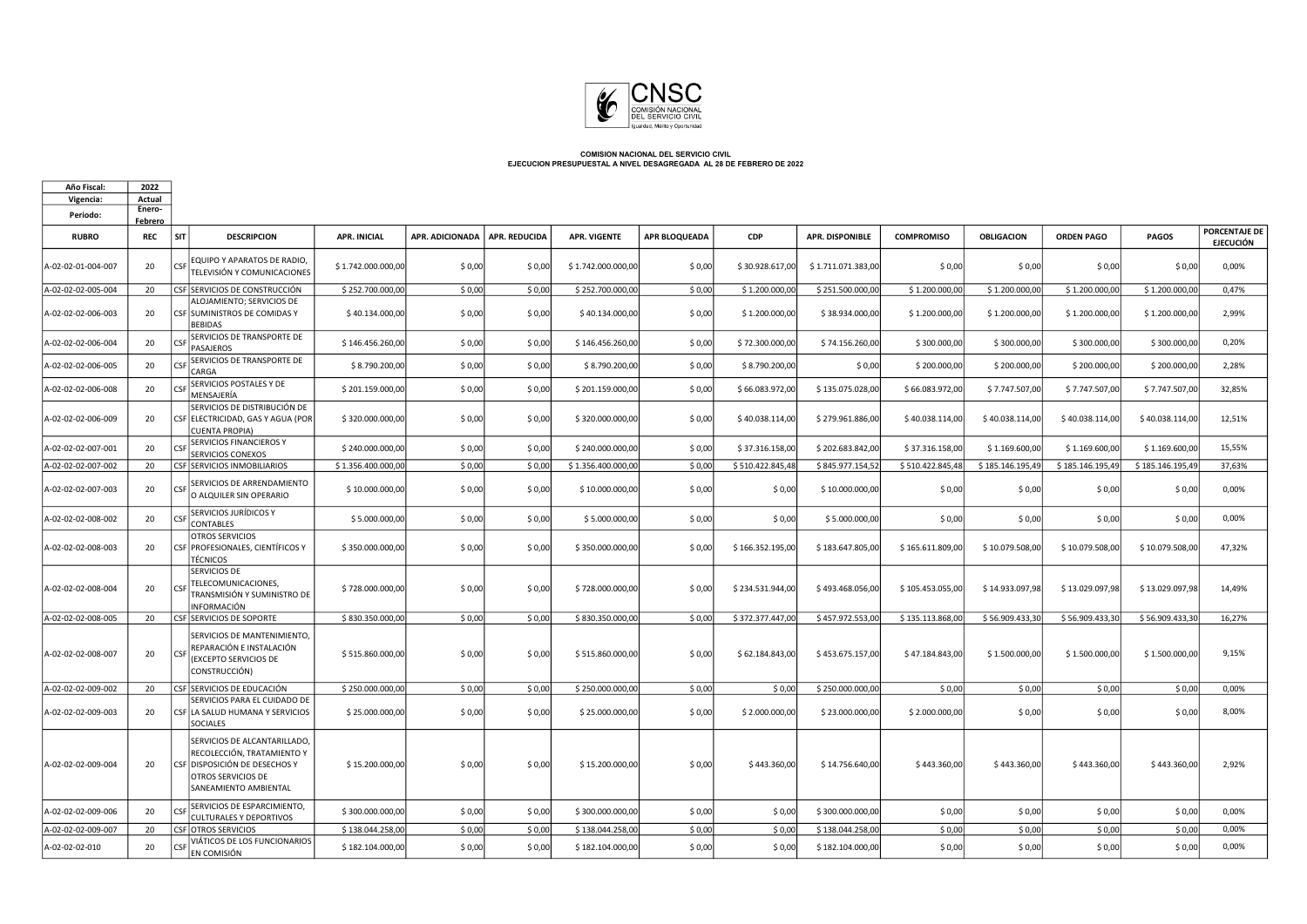

| Año Fiscal:        | 2022                     |                                                                                                                                            |                     |                        |                      |                     |                      |                  |                        |                   |                   |                   |                  |                                   |
|--------------------|--------------------------|--------------------------------------------------------------------------------------------------------------------------------------------|---------------------|------------------------|----------------------|---------------------|----------------------|------------------|------------------------|-------------------|-------------------|-------------------|------------------|-----------------------------------|
| Vigencia:          | Actual                   |                                                                                                                                            |                     |                        |                      |                     |                      |                  |                        |                   |                   |                   |                  |                                   |
| Periodo:           | Enero-<br><b>Febrero</b> |                                                                                                                                            |                     |                        |                      |                     |                      |                  |                        |                   |                   |                   |                  |                                   |
| <b>RUBRO</b>       | <b>REC</b>               | SIT<br><b>DESCRIPCION</b>                                                                                                                  | <b>APR. INICIAL</b> | <b>APR. ADICIONADA</b> | <b>APR. REDUCIDA</b> | <b>APR. VIGENTE</b> | <b>APR BLOQUEADA</b> | <b>CDP</b>       | <b>APR. DISPONIBLE</b> | <b>COMPROMISO</b> | <b>OBLIGACION</b> | <b>ORDEN PAGO</b> | <b>PAGOS</b>     | <b>PORCENTAJE DE</b><br>EJECUCIÓN |
| A-02-02-01-004-007 | 20                       | EQUIPO Y APARATOS DE RADIO,<br>CSF<br>TELEVISIÓN Y COMUNICACIONES                                                                          | \$1.742.000.000,00  | \$0,00                 | \$0,00               | \$1.742.000.000,00  | \$0,00               | \$30.928.617,00  | \$1.711.071.383,00     | \$0,00            | \$0,00            | \$0,00            | \$0,00           | 0,00%                             |
| A-02-02-02-005-004 | 20                       | CSF SERVICIOS DE CONSTRUCCIÓN                                                                                                              | \$252.700.000,00    | \$0,00                 | \$0,00               | \$252.700.000,00    | \$0,00               | \$1.200.000,0    | \$251.500.000,00       | \$1.200.000,00    | \$1.200.000,00    | \$1.200.000,00    | \$1.200.000,0    | 0,47%                             |
| A-02-02-02-006-003 | 20                       | ALOJAMIENTO; SERVICIOS DE<br>CSF SUMINISTROS DE COMIDAS Y<br><b>BEBIDAS</b>                                                                | \$40.134.000,00     | \$0,00                 | \$0,00               | \$40.134.000,00     | \$0,00               | \$1.200.000,00   | \$38.934.000,00        | \$1.200.000,00    | \$1.200.000,00    | \$1.200.000,00    | \$1.200.000,00   | 2,99%                             |
| A-02-02-02-006-004 | 20                       | SERVICIOS DE TRANSPORTE DE<br>ĊŚ<br><b>PASAJEROS</b>                                                                                       | \$146.456.260,00    | \$0,00                 | \$0,00               | \$146.456.260,00    | \$0,00               | \$72.300.000,00  | \$74.156.260,00        | \$300.000,00      | \$300.000,00      | \$300.000,00      | \$300.000,00     | 0,20%                             |
| A-02-02-02-006-005 | 20                       | SERVICIOS DE TRANSPORTE DE<br>CSI<br>CARGA                                                                                                 | \$8.790.200,00      | \$0,00                 | \$0,00               | \$8.790.200,00      | \$0,00               | \$8.790.200,00   | \$0,00                 | \$200.000,00      | \$200.000,00      | \$200.000,00      | \$200.000,00     | 2,28%                             |
| A-02-02-02-006-008 | 20                       | SERVICIOS POSTALES Y DE<br>CSF<br>MENSAJERÍA                                                                                               | \$201.159.000,00    | \$0,00                 | \$0,00               | \$201.159.000,00    | \$0,00               | \$66.083.972,00  | \$135.075.028,00       | \$66.083.972,00   | \$7.747.507,00    | \$7.747.507,00    | \$7.747.507,00   | 32,85%                            |
| A-02-02-02-006-009 | 20                       | SERVICIOS DE DISTRIBUCIÓN DE<br>CSF ELECTRICIDAD, GAS Y AGUA (POR<br><b>CUENTA PROPIA)</b>                                                 | \$320.000.000,00    | \$0,00                 | \$0,00               | \$320.000.000,00    | \$0,00               | \$40.038.114,00  | \$279.961.886,00       | \$40.038.114,00   | \$40.038.114,00   | \$40.038.114,00   | \$40.038.114,00  | 12.51%                            |
| A-02-02-02-007-001 | 20                       | <b>SERVICIOS FINANCIEROS Y</b><br>CSF<br>SERVICIOS CONEXOS                                                                                 | \$240.000.000,00    | \$0,00                 | \$0,00               | \$240.000.000,00    | \$0,00               | \$37.316.158,00  | \$202.683.842,00       | \$37.316.158,00   | \$1.169.600,00    | \$1.169.600,00    | \$1.169.600,00   | 15,55%                            |
| A-02-02-02-007-002 | 20                       | CSF SERVICIOS INMOBILIARIOS                                                                                                                | \$1.356.400.000,00  | \$0,00                 | \$0,00               | \$1.356.400.000,00  | \$0,00               | \$510.422.845,48 | \$845.977.154,52       | \$510.422.845,48  | \$185.146.195,49  | \$185.146.195,49  | \$185.146.195,49 | 37,63%                            |
| A-02-02-02-007-003 | 20                       | SERVICIOS DE ARRENDAMIENTO<br><b>CSF</b><br>O ALQUILER SIN OPERARIO                                                                        | \$10.000.000,00     | \$0,00                 | \$0,00               | \$10.000.000,00     | \$0,00               | \$0,00           | \$10.000.000,00        | \$0,00            | \$0,00            | \$0,00            | \$0,00           | 0,00%                             |
| A-02-02-02-008-002 | 20                       | <b>SERVICIOS JURÍDICOS Y</b><br>CSF<br>CONTABLES                                                                                           | \$5.000.000,00      | \$0,00                 | \$0,00               | \$5.000.000,00      | \$0,00               | \$0,00           | \$5.000.000,00         | \$0,00            | \$0,00            | \$0,00            | \$0,00           | 0,00%                             |
| A-02-02-02-008-003 | 20                       | OTROS SERVICIOS<br>CSF PROFESIONALES, CIENTÍFICOS Y<br><b>TÉCNICOS</b>                                                                     | \$350.000.000,00    | \$0,00                 | \$0,00               | \$350.000.000,00    | \$0,00               | \$166.352.195,00 | \$183.647.805,00       | \$165.611.809,00  | \$10.079.508,00   | \$10.079.508,00   | \$10.079.508,00  | 47,32%                            |
| A-02-02-02-008-004 | 20                       | SERVICIOS DE<br>TELECOMUNICACIONES,<br>CSE<br>TRANSMISIÓN Y SUMINISTRO DE<br>INFORMACIÓN                                                   | \$728,000,000,00    | \$0,00                 | \$0,00               | \$728,000,000,00    | \$0,00               | \$234.531.944.00 | \$493.468.056.00       | \$105.453.055.00  | \$14.933.097.98   | \$13,029,097.98   | \$13.029.097,98  | 14,49%                            |
| A-02-02-02-008-005 | 20                       | CSF SERVICIOS DE SOPORTE                                                                                                                   | \$830.350.000,00    | \$0,00                 | \$0,00               | \$830.350.000,00    | \$0,00               | \$372.377.447,0  | \$457.972.553,00       | \$135.113.868,00  | \$56.909.433,30   | \$56.909.433,30   | \$56.909.433,3   | 16,27%                            |
| A-02-02-02-008-007 | 20                       | SERVICIOS DE MANTENIMIENTO,<br>REPARACIÓN E INSTALACIÓN<br>CSF<br>(EXCEPTO SERVICIOS DE<br>CONSTRUCCIÓN)                                   | \$515.860.000,00    | \$0,00                 | \$0,00               | \$515.860.000,00    | \$0,00               | \$62.184.843,00  | \$453.675.157,00       | \$47.184.843,00   | \$1.500.000,00    | \$1.500.000,00    | \$1.500.000,00   | 9,15%                             |
| A-02-02-02-009-002 | 20                       | CSF SERVICIOS DE EDUCACIÓN                                                                                                                 | \$250.000.000,00    | \$0,00                 | \$0,00               | \$250.000.000,00    | \$0,00               | \$0,00           | \$250.000.000,00       | \$0,00            | \$0,00            | \$0,00            | \$0,00           | 0,00%                             |
| A-02-02-02-009-003 | 20                       | SERVICIOS PARA EL CUIDADO DE<br>CSF LA SALUD HUMANA Y SERVICIOS<br>SOCIALES                                                                | \$25.000.000,00     | \$0,00                 | \$0,00               | \$25.000.000,00     | \$0,00               | \$2.000.000,00   | \$23.000.000,00        | \$2.000.000,00    | \$0,00            | \$0,00            | \$0,00           | 8,00%                             |
| A-02-02-02-009-004 | 20                       | SERVICIOS DE ALCANTARILLADO,<br>RECOLECCIÓN, TRATAMIENTO Y<br>CSF DISPOSICIÓN DE DESECHOS Y<br>OTROS SERVICIOS DE<br>SANEAMIENTO AMBIENTAL | \$15.200.000,00     | \$0,00                 | \$0,00               | \$15.200.000,00     | \$0,00               | \$443.360,00     | \$14.756.640,00        | \$443.360,00      | \$443.360,00      | \$443.360,00      | \$443.360,00     | 2,92%                             |
| A-02-02-02-009-006 | 20                       | SERVICIOS DE ESPARCIMIENTO,<br>CSF<br><b>CULTURALES Y DEPORTIVOS</b>                                                                       | \$300.000.000,00    | \$0,00                 | \$0,00               | \$300.000.000,00    | \$0,00               | \$0,00           | \$300.000.000,00       | \$0,00            | \$0,00            | \$0,00            | \$0,00           | 0,00%                             |
| A-02-02-02-009-007 | 20                       | CSF OTROS SERVICIOS                                                                                                                        | \$138.044.258,00    | \$0,00                 | \$0,00               | \$138.044.258,00    | \$0,00               | \$0,00           | \$138.044.258,00       | \$0,00            | \$0,00            | \$0,00            | \$0,00           | 0,00%                             |
| A-02-02-02-010     | 20                       | VIÁTICOS DE LOS FUNCIONARIOS<br><b>CSI</b><br>EN COMISIÓN                                                                                  | \$182.104.000,00    | \$0,00                 | \$0,00               | \$182.104.000,00    | \$0,00               | \$0,00           | \$182.104.000,00       | \$0,00            | \$0,00            | \$0,00            | \$0,00           | 0,00%                             |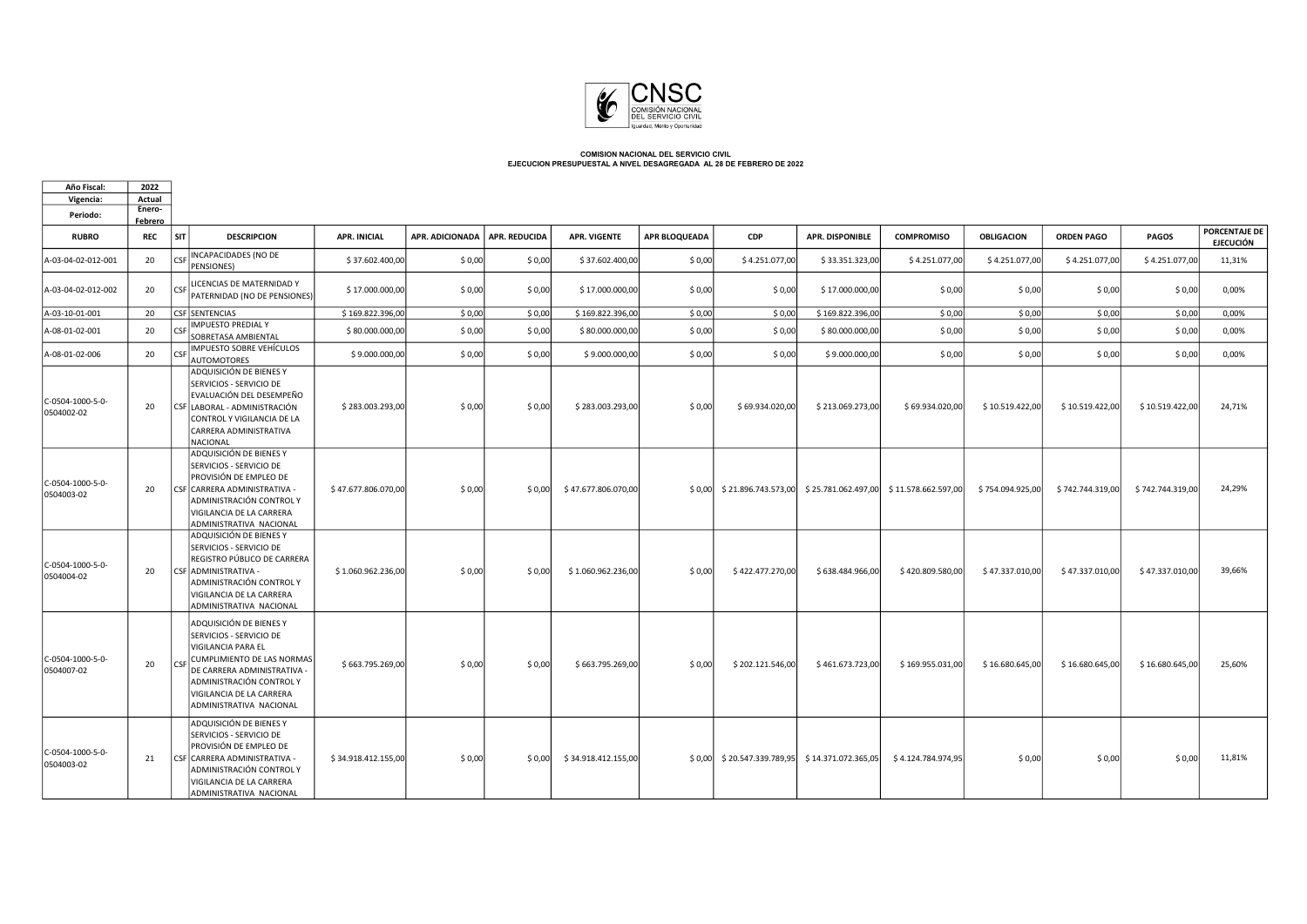

 $\Box$ 

| Año Fiscal:                    | 2022           |                                                                                                                                                                                                 |                                                           |                     |                 |                      |                     |                      |                  |                                                |                                                                                      |                   |                   |                  |                                   |
|--------------------------------|----------------|-------------------------------------------------------------------------------------------------------------------------------------------------------------------------------------------------|-----------------------------------------------------------|---------------------|-----------------|----------------------|---------------------|----------------------|------------------|------------------------------------------------|--------------------------------------------------------------------------------------|-------------------|-------------------|------------------|-----------------------------------|
| Vigencia:                      | Actual         |                                                                                                                                                                                                 |                                                           |                     |                 |                      |                     |                      |                  |                                                |                                                                                      |                   |                   |                  |                                   |
| Periodo:                       | Enero-         |                                                                                                                                                                                                 |                                                           |                     |                 |                      |                     |                      |                  |                                                |                                                                                      |                   |                   |                  |                                   |
| <b>RUBRO</b>                   | Febrero<br>REC | SIT                                                                                                                                                                                             | <b>DESCRIPCION</b>                                        | <b>APR. INICIAL</b> | APR. ADICIONADA | <b>APR. REDUCIDA</b> | <b>APR. VIGENTE</b> | <b>APR BLOQUEADA</b> | <b>CDP</b>       | <b>APR. DISPONIBLE</b>                         | <b>COMPROMISO</b>                                                                    | <b>OBLIGACION</b> | <b>ORDEN PAGO</b> | <b>PAGOS</b>     | PORCENTAJE DE<br><b>EJECUCIÓN</b> |
| A-03-04-02-012-001             | 20             | CSF INCAPACIDADES (NO DE<br>PENSIONES)                                                                                                                                                          |                                                           | \$37.602.400,00     | \$0,00          | \$0,00               | \$37.602.400,00     | \$0,00               | \$4.251.077,00   | \$33.351.323,00                                | \$4.251.077,00                                                                       | \$4.251.077,00    | \$4.251.077,00    | \$4.251.077,00   | 11,31%                            |
| A-03-04-02-012-002             | 20             | LICENCIAS DE MATERNIDAD Y<br>CSE                                                                                                                                                                | PATERNIDAD (NO DE PENSIONES)                              | \$17.000.000,00     | \$0,00          | \$0,00               | \$17.000.000,00     | \$0,00               | \$0,00           | \$17.000.000,00                                | \$0,00                                                                               | \$0,00            | \$0,00            | \$0,00           | 0,00%                             |
| A-03-10-01-001                 | 20             | CSF SENTENCIAS                                                                                                                                                                                  |                                                           | \$169.822.396,00    | \$0,00          | \$0,00               | \$169.822.396,00    | \$0,00               | \$0,00           | \$169.822.396,00                               | \$0,00                                                                               | \$0,00            | \$0,00            | \$0,00           | 0,00%                             |
| A-08-01-02-001                 | 20             | <b>IMPUESTO PREDIAL Y</b><br><b>CF</b><br>SOBRETASA AMBIENTAL                                                                                                                                   |                                                           | \$80.000.000,00     | \$0,00          | \$0,00               | \$80.000.000,00     | \$0,00               | \$0,00           | \$80.000.000,00                                | \$0,00                                                                               | \$0,00            | \$0,00            | \$0,00           | 0,00%                             |
| A-08-01-02-006                 | 20             | IMPUESTO SOBRE VEHÍCULOS<br><b>CF</b><br>AUTOMOTORES                                                                                                                                            |                                                           | \$9.000.000,00      | \$0,00          | \$0,00               | \$9.000.000,00      | \$0,00               | \$0,00           | \$9.000.000,00                                 | \$0,00                                                                               | \$0,00            | \$0,00            | \$0,00           | 0,00%                             |
| C-0504-1000-5-0-<br>0504002-02 | 20             | ADQUISICIÓN DE BIENES Y<br>SERVICIOS - SERVICIO DE<br>CSF LABORAL - ADMINISTRACIÓN<br>CONTROL Y VIGILANCIA DE LA<br>CARRERA ADMINISTRATIVA<br>NACIONAL                                          | EVALUACIÓN DEL DESEMPEÑO                                  | \$283.003.293,00    | \$0,00          | \$0,00               | \$283.003.293,00    | \$0,00               | \$69.934.020,00  | \$213.069.273,00                               | \$69.934.020,00                                                                      | \$10.519.422,00   | \$10.519.422,00   | \$10.519.422,00  | 24,71%                            |
| C-0504-1000-5-0-<br>0504003-02 | 20             | ADQUISICIÓN DE BIENES Y<br>SERVICIOS - SERVICIO DE<br>PROVISIÓN DE EMPLEO DE<br>CSF CARRERA ADMINISTRATIVA -<br>ADMINISTRACIÓN CONTROL Y<br>VIGILANCIA DE LA CARRERA<br>ADMINISTRATIVA NACIONAL |                                                           | \$47.677.806.070,00 | \$0,00          | \$0,00               | \$47.677.806.070,00 |                      |                  |                                                | $\vert$ \$ 0,00   \$ 21.896.743.573,00   \$ 25.781.062.497,00   \$ 11.578.662.597,00 | \$754.094.925,00  | \$742.744.319,00  | \$742.744.319,00 | 24,29%                            |
| C-0504-1000-5-0-<br>0504004-02 | 20             | ADQUISICIÓN DE BIENES Y<br>SERVICIOS - SERVICIO DE<br>CSF ADMINISTRATIVA -<br>ADMINISTRACIÓN CONTROL Y<br>VIGILANCIA DE LA CARRERA<br>ADMINISTRATIVA NACIONAL                                   | REGISTRO PÚBLICO DE CARRERA                               | \$1,060,962,236,00  | \$0,00          | \$0.00               | \$1.060.962.236.00  | \$0.00               | \$422,477,270.00 | \$638,484,966,00                               | \$420,809,580,00                                                                     | \$47.337.010.00   | \$47.337.010.00   | \$47.337.010,00  | 39,66%                            |
| C-0504-1000-5-0-<br>0504007-02 | 20             | ADQUISICIÓN DE BIENES Y<br>SERVICIOS - SERVICIO DE<br>VIGILANCIA PARA EL<br>CSF<br>ADMINISTRACIÓN CONTROLY<br>VIGILANCIA DE LA CARRERA<br>ADMINISTRATIVA NACIONAL                               | CUMPLIMIENTO DE LAS NORMAS<br>DE CARRERA ADMINISTRATIVA - | \$663.795.269,00    | \$0,00          | \$0,00               | \$663.795.269,00    | \$0.00               | \$202.121.546,00 | \$461.673.723,00                               | \$169.955.031,00                                                                     | \$16.680.645,00   | \$16.680.645,00   | \$16.680.645,00  | 25,60%                            |
| C-0504-1000-5-0-<br>0504003-02 | 21             | ADQUISICIÓN DE BIENES Y<br>SERVICIOS - SERVICIO DE<br>PROVISIÓN DE EMPLEO DE<br>CSF CARRERA ADMINISTRATIVA -<br>ADMINISTRACIÓN CONTROLY<br>VIGILANCIA DE LA CARRERA<br>ADMINISTRATIVA NACIONAL  |                                                           | \$34.918.412.155,00 | \$0,00          | \$0,00               | \$34.918.412.155,00 |                      |                  | \$0,00 \$20.547.339.789,95 \$14.371.072.365,05 | \$4.124.784.974,95                                                                   | \$0,00            | \$0,00            | \$0,00           | 11,81%                            |